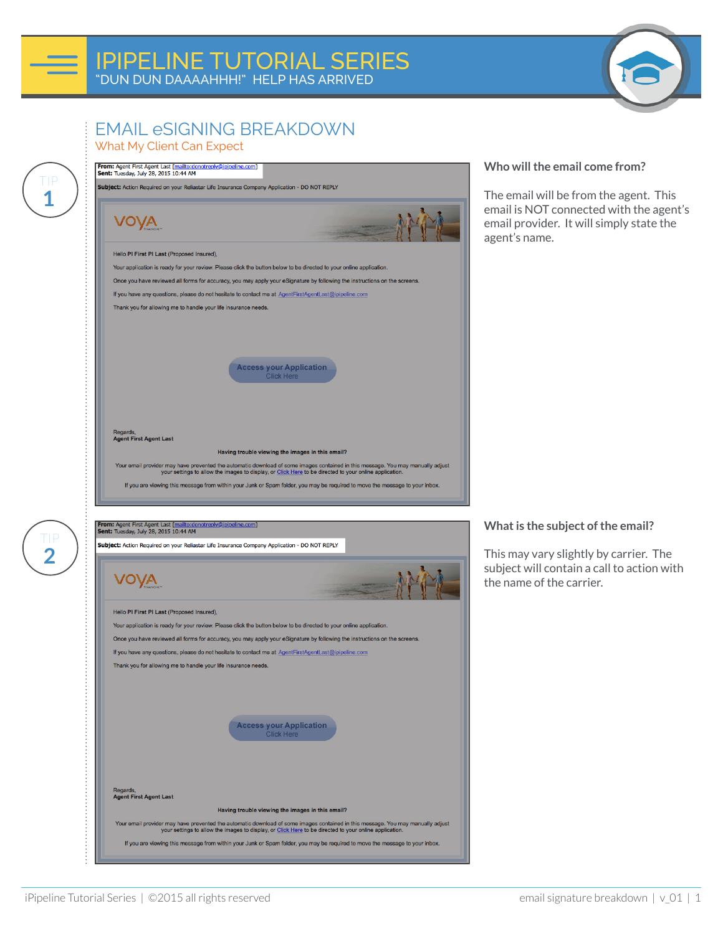

## EMAIL eSIGNING BREAKDOWN What My Client Can Expect

**1**

TIP

**2**

TIP



### **Who will the email come from?**

The email will be from the agent. This email is NOT connected with the agent's email provider. It will simply state the agent's name.

#### **What is the subject of the email?**

This may vary slightly by carrier. The subject will contain a call to action with the name of the carrier.

Subject: Action Required on your Reliastar Life Insurance Company Application - DO NOT REPLY VOVA Hello PI First PI Last (Proposed Insured). Your application is ready for your review. Please click the button below to be directed to your online application. Once you have reviewed all forms for accuracy, you may apply your eSignature by following the instructions on the screens. If you have any questions, please do not hesitate to contact me at AgentFirstAgentLast@ipipeline.com Thank you for allowing me to handle your life insurance needs. ccess your Application Regards,<br>Agent First Agent Last Having trouble viewing the images in this email? Your email provider may have prevented the automatic download of some images contained in this message. You may manually adjust your settings to allow the images to display, or Click Here to be directed to your online appl If you are viewing this message from within your Junk or Spam folder, you may be required to move the message to your inbox.

iPipeline Tutorial Series | ©2015 all rights reserved email signature breakdown | v\_01 | 1